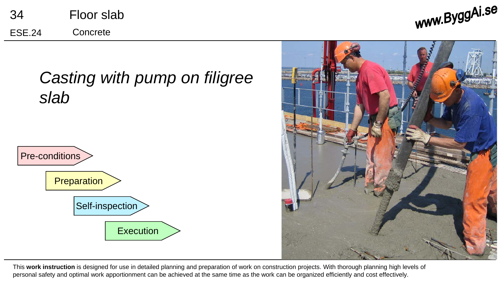| 34            | Floor slab |
|---------------|------------|
| <b>ESE.24</b> | Concrete   |

www.ByggAi.se



This **work instruction** is designed for use in detailed planning and preparation of work on construction projects. With thorough planning high levels of personal safety and optimal work apportionment can be achieved at the same time as the work can be organized efficiently and cost effectively.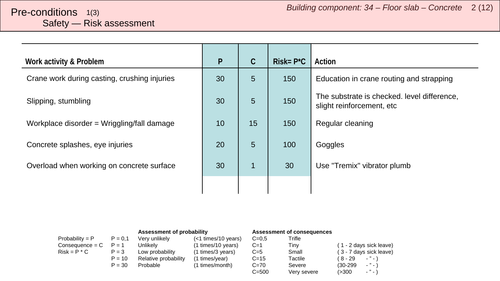<span id="page-1-0"></span>

| Work activity & Problem                      | $\mathsf{P}$ | $\mathcal{C}$  | $Risk = P^*C$ | Action                                                                   |
|----------------------------------------------|--------------|----------------|---------------|--------------------------------------------------------------------------|
| Crane work during casting, crushing injuries | 30           | $5\phantom{.}$ | 150           | Education in crane routing and strapping                                 |
| Slipping, stumbling                          | 30           | 5              | 150           | The substrate is checked. level difference,<br>slight reinforcement, etc |
| Workplace disorder = Wriggling/fall damage   | 10           | 15             | 150           | Regular cleaning                                                         |
| Concrete splashes, eye injuries              | 20           | 5              | 100           | Goggles                                                                  |
| Overload when working on concrete surface    | 30           | $\mathbf{1}$   | 30            | Use "Tremix" vibrator plumb                                              |
|                                              |              |                |               |                                                                          |

|                   |           | Assessment of probability |                       | <b>Assessment of consequences</b> |             |            |                               |
|-------------------|-----------|---------------------------|-----------------------|-----------------------------------|-------------|------------|-------------------------------|
| $Probability = P$ | $P = 0.1$ | Verv unlikelv             | $(<1$ times/10 years) | $C = 0.5$                         | Trifle      |            |                               |
| Consequence = C   | $P = 1$   | Unlikely                  | (1 times/10 years)    | $C=1$                             | Tiny        |            | (1 - 2 days sick leave)       |
| $Risk = P * C$    | $P = 3$   | Low probability           | (1 times/3 years)     | $C=5$                             | Small       |            | (3 - 7 days sick leave)       |
|                   | $P = 10$  | Relative probability      | (1 times/year)        | $C = 15$                          | Tactile     | ( 8 - 29   | $-$ " $-$ )                   |
|                   | $P = 30$  | Probable                  | (1 times/month)       | $C = 70$                          | Severe      | $(30-299)$ | $\cdot$ " $\cdot$ )           |
|                   |           |                           |                       | $C = 500$                         | Very severe | (>300      | $\sim$ $^{10}$ $\sim$ $^{11}$ |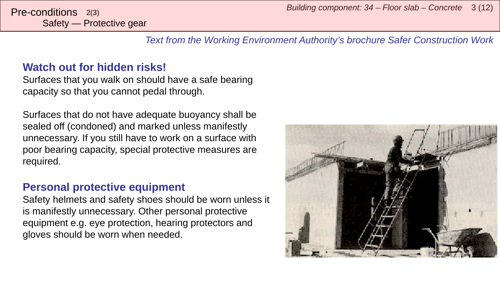*Building component: 34 – Floor slab – Concrete* <sup>3</sup> (12) Pre-conditions 2(3)

*Text from the Working Environment Authority's brochure Safer Construction Work*

## **Watch out for hidden risks!**

Surfaces that you walk on should have a safe bearing capacity so that you cannot pedal through.

Surfaces that do not have adequate buoyancy shall be sealed off (condoned) and marked unless manifestly unnecessary. If you still have to work on a surface with poor bearing capacity, special protective measures are required.

## **Personal protective equipment**

Safety helmets and safety shoes should be worn unless it is manifestly unnecessary. Other personal protective equipment e.g. eye protection, hearing protectors and gloves should be worn when needed.

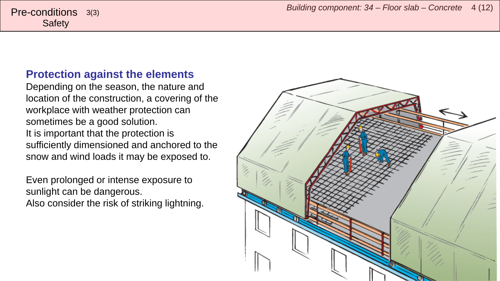## **Protection against the elements**

Depending on the season, the nature and location of the construction, a covering of the workplace with weather protection can sometimes be a good solution. It is important that the protection is sufficiently dimensioned and anchored to the snow and wind loads it may be exposed to.

Even prolonged or intense exposure to sunlight can be dangerous. Also consider the risk of striking lightning.

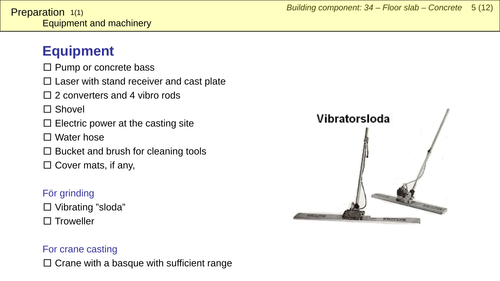# <span id="page-4-0"></span>**Equipment**

- $\square$  Pump or concrete bass
- $\square$  Laser with stand receiver and cast plate
- $\Box$  2 converters and 4 vibro rods
- □ Shovel
- $\square$  Electric power at the casting site
- $\Box$  Water hose
- $\square$  Bucket and brush for cleaning tools
- $\square$  Cover mats, if any,

# För grinding

□ Vibrating "sloda" □ Troweller

### For crane casting

 $\square$  Crane with a basque with sufficient range

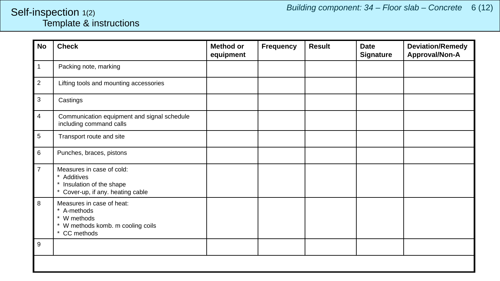## <span id="page-5-0"></span>Template & instructions Self-inspection 1(2)

| <b>No</b>        | <b>Check</b>                                                                                                          | <b>Method or</b><br>equipment | <b>Frequency</b> | <b>Result</b> | <b>Date</b><br><b>Signature</b> | <b>Deviation/Remedy</b><br>Approval/Non-A |  |  |
|------------------|-----------------------------------------------------------------------------------------------------------------------|-------------------------------|------------------|---------------|---------------------------------|-------------------------------------------|--|--|
| 1                | Packing note, marking                                                                                                 |                               |                  |               |                                 |                                           |  |  |
| $\boldsymbol{2}$ | Lifting tools and mounting accessories                                                                                |                               |                  |               |                                 |                                           |  |  |
| 3                | Castings                                                                                                              |                               |                  |               |                                 |                                           |  |  |
| 4                | Communication equipment and signal schedule<br>including command calls                                                |                               |                  |               |                                 |                                           |  |  |
| 5                | Transport route and site                                                                                              |                               |                  |               |                                 |                                           |  |  |
| 6                | Punches, braces, pistons                                                                                              |                               |                  |               |                                 |                                           |  |  |
| $\overline{7}$   | Measures in case of cold:<br>$\star$<br>Additives<br>* Insulation of the shape<br>* Cover-up, if any. heating cable   |                               |                  |               |                                 |                                           |  |  |
| 8                | Measures in case of heat:<br>A-methods<br>$\star$<br>* W methods<br>* W methods komb. m cooling coils<br>* CC methods |                               |                  |               |                                 |                                           |  |  |
| 9                |                                                                                                                       |                               |                  |               |                                 |                                           |  |  |
|                  |                                                                                                                       |                               |                  |               |                                 |                                           |  |  |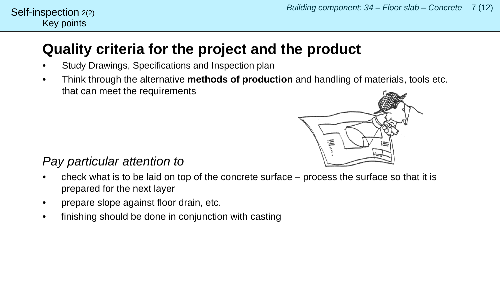# **Quality criteria for the project and the product**

- Study Drawings, Specifications and Inspection plan
- Think through the alternative **methods of production** and handling of materials, tools etc. that can meet the requirements



# *Pay particular attention to*

- check what is to be laid on top of the concrete surface process the surface so that it is prepared for the next layer
- prepare slope against floor drain, etc.
- finishing should be done in conjunction with casting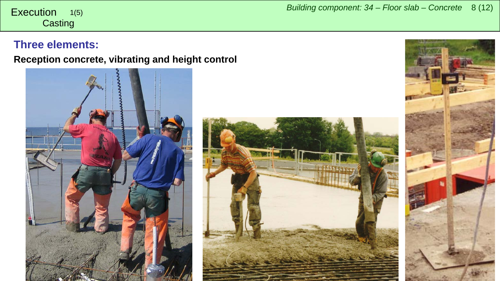#### **Casting** 1(5)

### **Three elements:**

**Reception concrete, vibrating and height control**





<span id="page-7-0"></span>*Building component: 34 – Floor slab – Concrete* <sup>8</sup> (12) Execution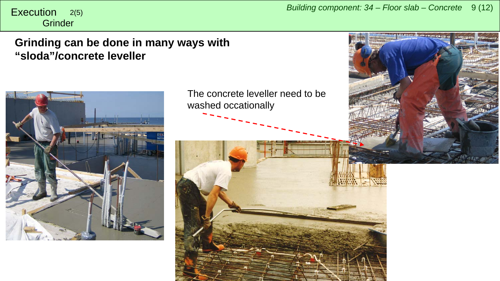**Grinder** 

## **Grinding can be done in many ways with "sloda"/concrete leveller**



The concrete leveller need to be washed occationally

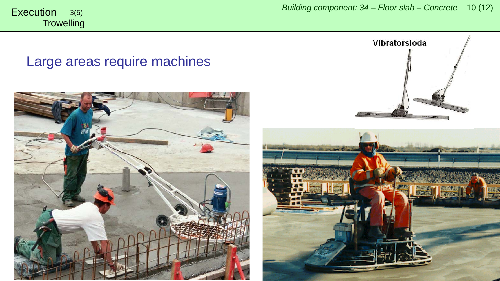**Trowelling** 

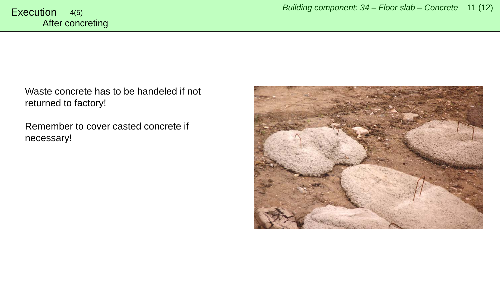Waste concrete has to be handeled if not returned to factory!

Remember to cover casted concrete if necessary!